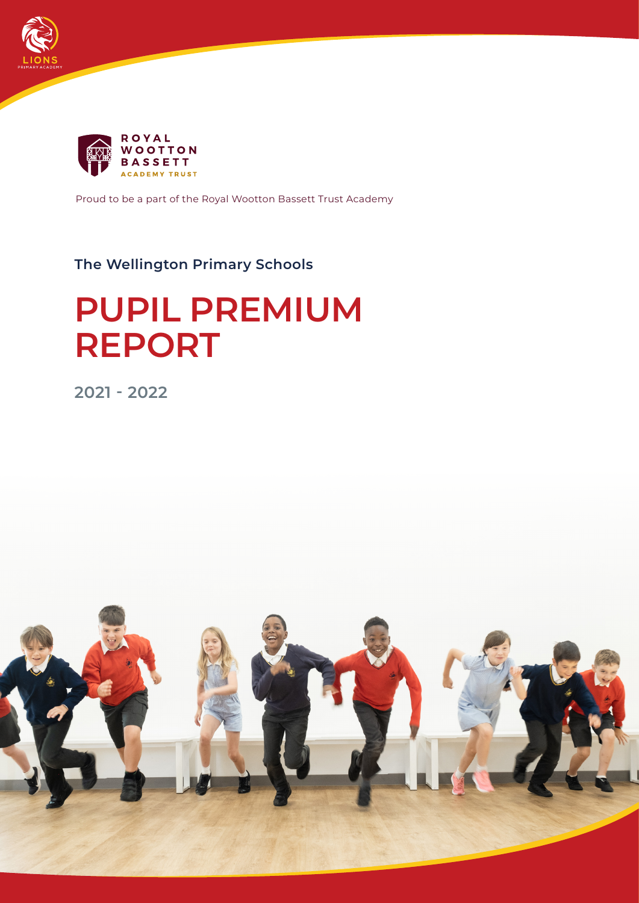



Proud to be a part of the Royal Wootton Bassett Trust Academy

# **The Wellington Primary Schools**

# **PUPIL PREMIUM REPORT**

**2021 - 2022**

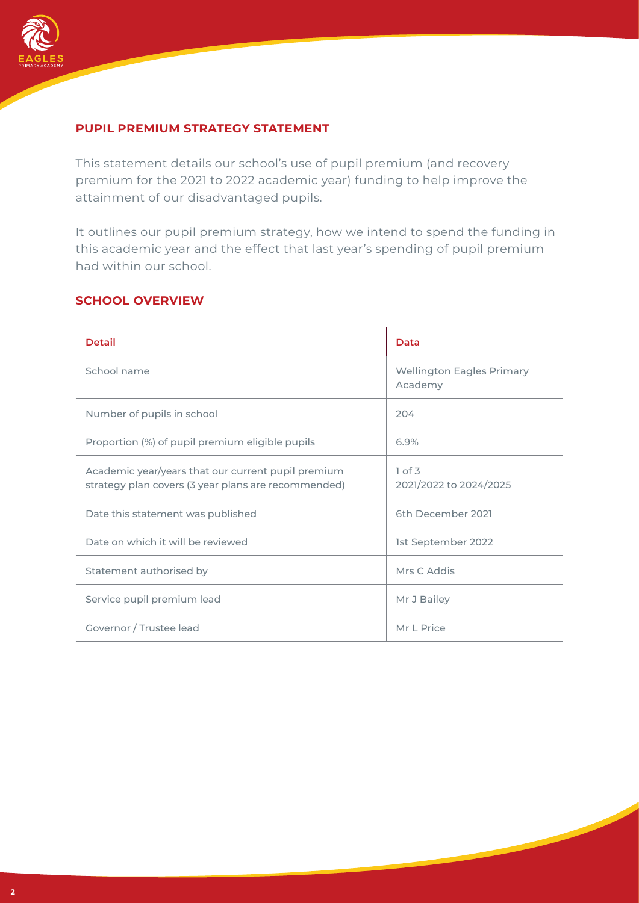

## **PUPIL PREMIUM STRATEGY STATEMENT**

This statement details our school's use of pupil premium (and recovery premium for the 2021 to 2022 academic year) funding to help improve the attainment of our disadvantaged pupils.

It outlines our pupil premium strategy, how we intend to spend the funding in this academic year and the effect that last year's spending of pupil premium had within our school.

#### **SCHOOL OVERVIEW**

| <b>Detail</b>                                                                                             | Data                                        |
|-----------------------------------------------------------------------------------------------------------|---------------------------------------------|
| School name                                                                                               | <b>Wellington Eagles Primary</b><br>Academy |
| Number of pupils in school                                                                                | 204                                         |
| Proportion (%) of pupil premium eligible pupils                                                           | 6.9%                                        |
| Academic year/years that our current pupil premium<br>strategy plan covers (3 year plans are recommended) | 1 of 3<br>2021/2022 to 2024/2025            |
| Date this statement was published                                                                         | 6th December 2021                           |
| Date on which it will be reviewed                                                                         | 1st September 2022                          |
| Statement authorised by                                                                                   | Mrs C Addis                                 |
| Service pupil premium lead                                                                                | Mr J Bailey                                 |
| Governor / Trustee lead                                                                                   | Mr L Price                                  |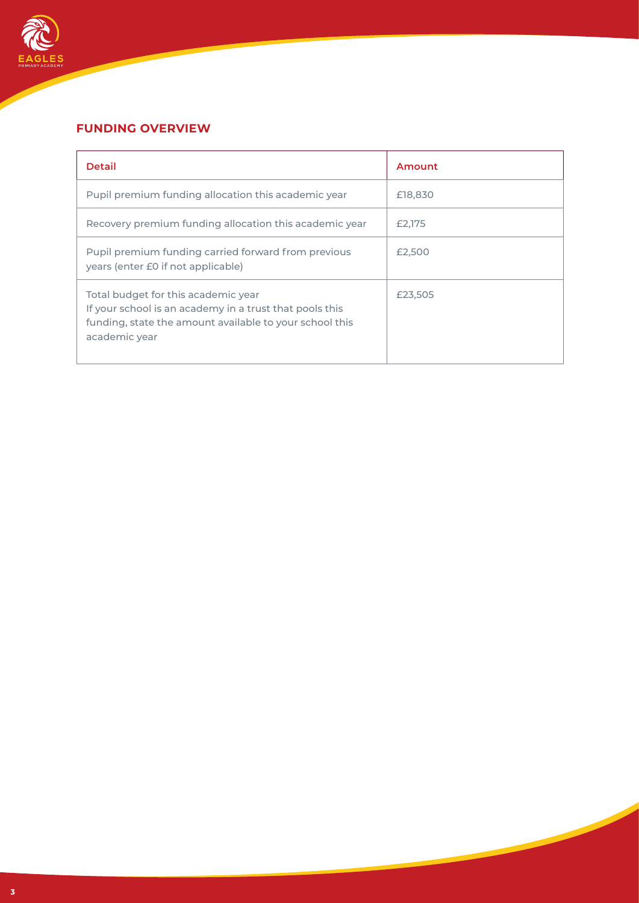

## **FUNDING OVERVIEW**

| <b>Detail</b>                                                                                                                                                              | Amount  |
|----------------------------------------------------------------------------------------------------------------------------------------------------------------------------|---------|
| Pupil premium funding allocation this academic year                                                                                                                        | £18,830 |
| Recovery premium funding allocation this academic year                                                                                                                     | £2,175  |
| Pupil premium funding carried forward from previous<br>years (enter £0 if not applicable)                                                                                  | £2,500  |
| Total budget for this academic year<br>If your school is an academy in a trust that pools this<br>funding, state the amount available to your school this<br>academic year | £23,505 |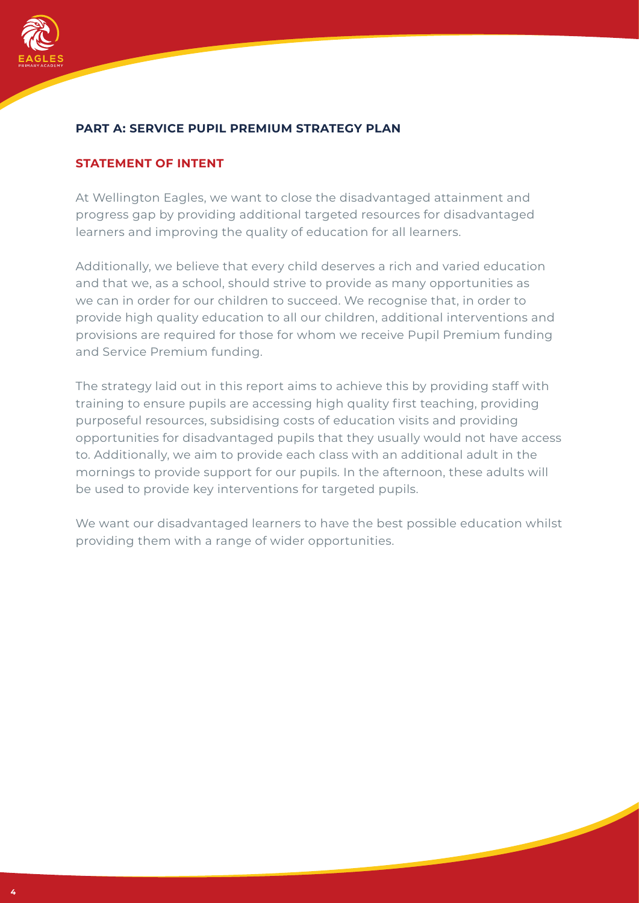

#### **PART A: SERVICE PUPIL PREMIUM STRATEGY PLAN**

#### **STATEMENT OF INTENT**

At Wellington Eagles, we want to close the disadvantaged attainment and progress gap by providing additional targeted resources for disadvantaged learners and improving the quality of education for all learners.

Additionally, we believe that every child deserves a rich and varied education and that we, as a school, should strive to provide as many opportunities as we can in order for our children to succeed. We recognise that, in order to provide high quality education to all our children, additional interventions and provisions are required for those for whom we receive Pupil Premium funding and Service Premium funding.

The strategy laid out in this report aims to achieve this by providing staff with training to ensure pupils are accessing high quality first teaching, providing purposeful resources, subsidising costs of education visits and providing opportunities for disadvantaged pupils that they usually would not have access to. Additionally, we aim to provide each class with an additional adult in the mornings to provide support for our pupils. In the afternoon, these adults will be used to provide key interventions for targeted pupils.

We want our disadvantaged learners to have the best possible education whilst providing them with a range of wider opportunities.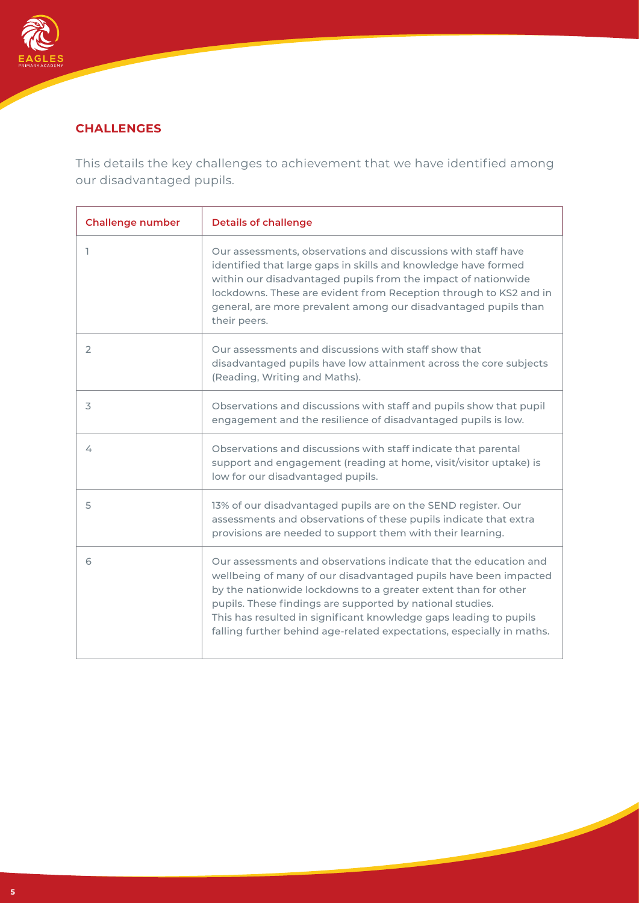

## **CHALLENGES**

This details the key challenges to achievement that we have identified among our disadvantaged pupils.

| <b>Challenge number</b> | <b>Details of challenge</b>                                                                                                                                                                                                                                                                                                                                                                                       |
|-------------------------|-------------------------------------------------------------------------------------------------------------------------------------------------------------------------------------------------------------------------------------------------------------------------------------------------------------------------------------------------------------------------------------------------------------------|
|                         | Our assessments, observations and discussions with staff have<br>identified that large gaps in skills and knowledge have formed<br>within our disadvantaged pupils from the impact of nationwide<br>lockdowns. These are evident from Reception through to KS2 and in<br>general, are more prevalent among our disadvantaged pupils than<br>their peers.                                                          |
| $\overline{2}$          | Our assessments and discussions with staff show that<br>disadvantaged pupils have low attainment across the core subjects<br>(Reading, Writing and Maths).                                                                                                                                                                                                                                                        |
| 3                       | Observations and discussions with staff and pupils show that pupil<br>engagement and the resilience of disadvantaged pupils is low.                                                                                                                                                                                                                                                                               |
| 4                       | Observations and discussions with staff indicate that parental<br>support and engagement (reading at home, visit/visitor uptake) is<br>low for our disadvantaged pupils.                                                                                                                                                                                                                                          |
| 5                       | 13% of our disadvantaged pupils are on the SEND register. Our<br>assessments and observations of these pupils indicate that extra<br>provisions are needed to support them with their learning.                                                                                                                                                                                                                   |
| 6                       | Our assessments and observations indicate that the education and<br>wellbeing of many of our disadvantaged pupils have been impacted<br>by the nationwide lockdowns to a greater extent than for other<br>pupils. These findings are supported by national studies.<br>This has resulted in significant knowledge gaps leading to pupils<br>falling further behind age-related expectations, especially in maths. |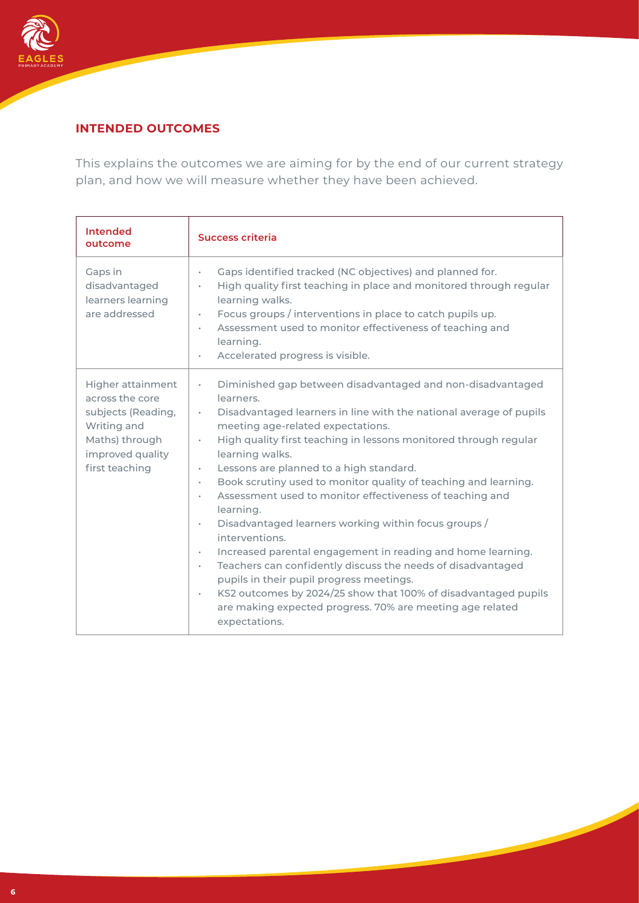

## **INTENDED OUTCOMES**

This explains the outcomes we are aiming for by the end of our current strategy plan, and how we will measure whether they have been achieved.

| <b>Intended</b><br>outcome                                                                                                               | <b>Success criteria</b>                                                                                                                                                                                                                                                                                                                                                                                                                                                                                                                                                                                                                                                                                                                                                                                                                                                                                                                        |
|------------------------------------------------------------------------------------------------------------------------------------------|------------------------------------------------------------------------------------------------------------------------------------------------------------------------------------------------------------------------------------------------------------------------------------------------------------------------------------------------------------------------------------------------------------------------------------------------------------------------------------------------------------------------------------------------------------------------------------------------------------------------------------------------------------------------------------------------------------------------------------------------------------------------------------------------------------------------------------------------------------------------------------------------------------------------------------------------|
| Gaps in<br>disadvantaged<br>learners learning<br>are addressed                                                                           | Gaps identified tracked (NC objectives) and planned for.<br>ò.<br>High quality first teaching in place and monitored through regular<br>o.<br>learning walks.<br>Focus groups / interventions in place to catch pupils up.<br>ò.<br>Assessment used to monitor effectiveness of teaching and<br>٠<br>learning.<br>Accelerated progress is visible.<br>ò.                                                                                                                                                                                                                                                                                                                                                                                                                                                                                                                                                                                       |
| <b>Higher attainment</b><br>across the core<br>subjects (Reading,<br>Writing and<br>Maths) through<br>improved quality<br>first teaching | Diminished gap between disadvantaged and non-disadvantaged<br>×.<br>learners.<br>Disadvantaged learners in line with the national average of pupils<br>$\mathbf{e}^{(1)}$ .<br>meeting age-related expectations.<br>High quality first teaching in lessons monitored through regular<br>÷.<br>learning walks.<br>Lessons are planned to a high standard.<br>٠<br>Book scrutiny used to monitor quality of teaching and learning.<br>٠<br>Assessment used to monitor effectiveness of teaching and<br>٠<br>learning.<br>Disadvantaged learners working within focus groups /<br>٠<br>interventions.<br>Increased parental engagement in reading and home learning.<br>÷.<br>Teachers can confidently discuss the needs of disadvantaged<br>ò.<br>pupils in their pupil progress meetings.<br>KS2 outcomes by 2024/25 show that 100% of disadvantaged pupils<br>ò.<br>are making expected progress. 70% are meeting age related<br>expectations. |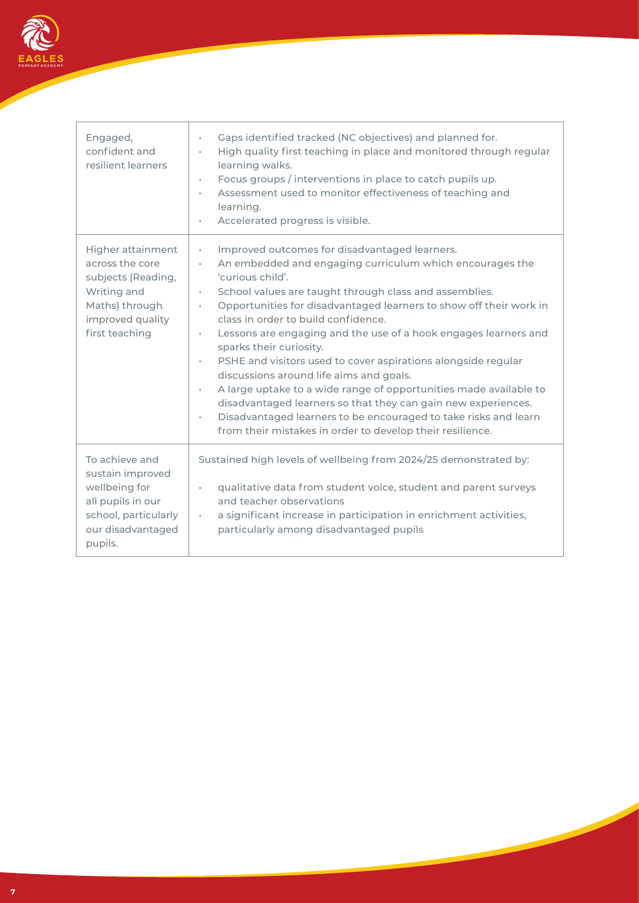

| Engaged,<br>confident and<br>resilient learners                                                                                   | Gaps identified tracked (NC objectives) and planned for.<br>٠<br>High quality first teaching in place and monitored through regular<br>٠<br>learning walks.<br>Focus groups / interventions in place to catch pupils up.<br>٠<br>Assessment used to monitor effectiveness of teaching and<br>٠<br>learning.<br>Accelerated progress is visible.<br>٠                                                                                                                                                                                                                                                                                                                                                                                                                                                                          |
|-----------------------------------------------------------------------------------------------------------------------------------|-------------------------------------------------------------------------------------------------------------------------------------------------------------------------------------------------------------------------------------------------------------------------------------------------------------------------------------------------------------------------------------------------------------------------------------------------------------------------------------------------------------------------------------------------------------------------------------------------------------------------------------------------------------------------------------------------------------------------------------------------------------------------------------------------------------------------------|
| Higher attainment<br>across the core<br>subjects (Reading,<br>Writing and<br>Maths) through<br>improved quality<br>first teaching | Improved outcomes for disadvantaged learners.<br>٠<br>An embedded and engaging curriculum which encourages the<br>٠<br>'curious child'.<br>School values are taught through class and assemblies.<br>٠<br>Opportunities for disadvantaged learners to show off their work in<br>×.<br>class in order to build confidence.<br>Lessons are engaging and the use of a hook engages learners and<br>٠<br>sparks their curiosity.<br>PSHE and visitors used to cover aspirations alongside regular<br>٠<br>discussions around life aims and goals.<br>A large uptake to a wide range of opportunities made available to<br>٠<br>disadvantaged learners so that they can gain new experiences.<br>Disadvantaged learners to be encouraged to take risks and learn<br>٠<br>from their mistakes in order to develop their resilience. |
| To achieve and<br>sustain improved<br>wellbeing for<br>all pupils in our<br>school, particularly<br>our disadvantaged<br>pupils.  | Sustained high levels of wellbeing from 2024/25 demonstrated by:<br>qualitative data from student voice, student and parent surveys<br>٠<br>and teacher observations<br>a significant increase in participation in enrichment activities,<br>٠<br>particularly among disadvantaged pupils                                                                                                                                                                                                                                                                                                                                                                                                                                                                                                                                     |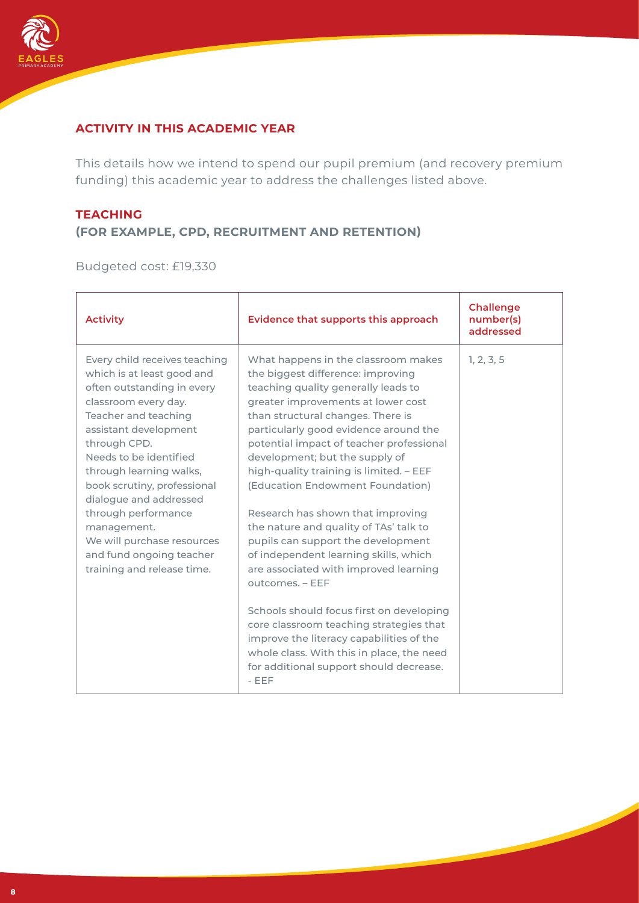

## **ACTIVITY IN THIS ACADEMIC YEAR**

This details how we intend to spend our pupil premium (and recovery premium funding) this academic year to address the challenges listed above.

## **TEACHING (FOR EXAMPLE, CPD, RECRUITMENT AND RETENTION)**

Budgeted cost: £19,330

| <b>Activity</b>                                                                                                                                                                                                                                                                                                                                                                                                                | Evidence that supports this approach                                                                                                                                                                                                                                                                                                                                                                                                                                                                                                                                                                                       | <b>Challenge</b><br>number(s)<br>addressed |
|--------------------------------------------------------------------------------------------------------------------------------------------------------------------------------------------------------------------------------------------------------------------------------------------------------------------------------------------------------------------------------------------------------------------------------|----------------------------------------------------------------------------------------------------------------------------------------------------------------------------------------------------------------------------------------------------------------------------------------------------------------------------------------------------------------------------------------------------------------------------------------------------------------------------------------------------------------------------------------------------------------------------------------------------------------------------|--------------------------------------------|
| Every child receives teaching<br>which is at least good and<br>often outstanding in every<br>classroom every day.<br>Teacher and teaching<br>assistant development<br>through CPD.<br>Needs to be identified<br>through learning walks,<br>book scrutiny, professional<br>dialogue and addressed<br>through performance<br>management.<br>We will purchase resources<br>and fund ongoing teacher<br>training and release time. | What happens in the classroom makes<br>the biggest difference: improving<br>teaching quality generally leads to<br>greater improvements at lower cost<br>than structural changes. There is<br>particularly good evidence around the<br>potential impact of teacher professional<br>development; but the supply of<br>high-quality training is limited. - EEF<br>(Education Endowment Foundation)<br>Research has shown that improving<br>the nature and quality of TAs' talk to<br>pupils can support the development<br>of independent learning skills, which<br>are associated with improved learning<br>outcomes. - EEF | 1, 2, 3, 5                                 |
|                                                                                                                                                                                                                                                                                                                                                                                                                                | Schools should focus first on developing<br>core classroom teaching strategies that<br>improve the literacy capabilities of the<br>whole class. With this in place, the need<br>for additional support should decrease.<br>$-EEF$                                                                                                                                                                                                                                                                                                                                                                                          |                                            |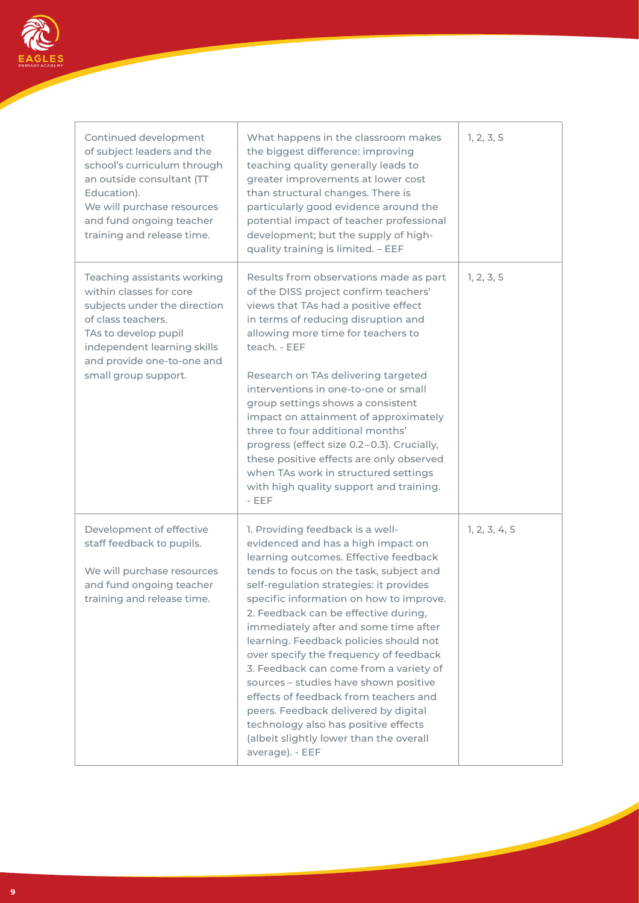

| Continued development<br>of subject leaders and the<br>school's curriculum through<br>an outside consultant (TT<br>Education).<br>We will purchase resources<br>and fund ongoing teacher<br>training and release time.    | What happens in the classroom makes<br>the biggest difference: improving<br>teaching quality generally leads to<br>greater improvements at lower cost<br>than structural changes. There is<br>particularly good evidence around the<br>potential impact of teacher professional<br>development; but the supply of high-<br>quality training is limited. - EEF                                                                                                                                                                                                                                                                                                                                   | 1, 2, 3, 5    |
|---------------------------------------------------------------------------------------------------------------------------------------------------------------------------------------------------------------------------|-------------------------------------------------------------------------------------------------------------------------------------------------------------------------------------------------------------------------------------------------------------------------------------------------------------------------------------------------------------------------------------------------------------------------------------------------------------------------------------------------------------------------------------------------------------------------------------------------------------------------------------------------------------------------------------------------|---------------|
| Teaching assistants working<br>within classes for core<br>subjects under the direction<br>of class teachers.<br>TAs to develop pupil<br>independent learning skills<br>and provide one-to-one and<br>small group support. | Results from observations made as part<br>of the DISS project confirm teachers'<br>views that TAs had a positive effect<br>in terms of reducing disruption and<br>allowing more time for teachers to<br>teach. - EEF<br>Research on TAs delivering targeted<br>interventions in one-to-one or small<br>group settings shows a consistent<br>impact on attainment of approximately<br>three to four additional months'<br>progress (effect size 0.2-0.3). Crucially,<br>these positive effects are only observed<br>when TAs work in structured settings<br>with high quality support and training.<br>$-EEF$                                                                                    | 1, 2, 3, 5    |
| Development of effective<br>staff feedback to pupils.<br>We will purchase resources<br>and fund ongoing teacher<br>training and release time.                                                                             | 1. Providing feedback is a well-<br>evidenced and has a high impact on<br>learning outcomes. Effective feedback<br>tends to focus on the task, subject and<br>self-regulation strategies: it provides<br>specific information on how to improve.<br>2. Feedback can be effective during,<br>immediately after and some time after<br>learning. Feedback policies should not<br>over specify the frequency of feedback<br>3. Feedback can come from a variety of<br>sources - studies have shown positive<br>effects of feedback from teachers and<br>peers. Feedback delivered by digital<br>technology also has positive effects<br>(albeit slightly lower than the overall<br>average). - EEF | 1, 2, 3, 4, 5 |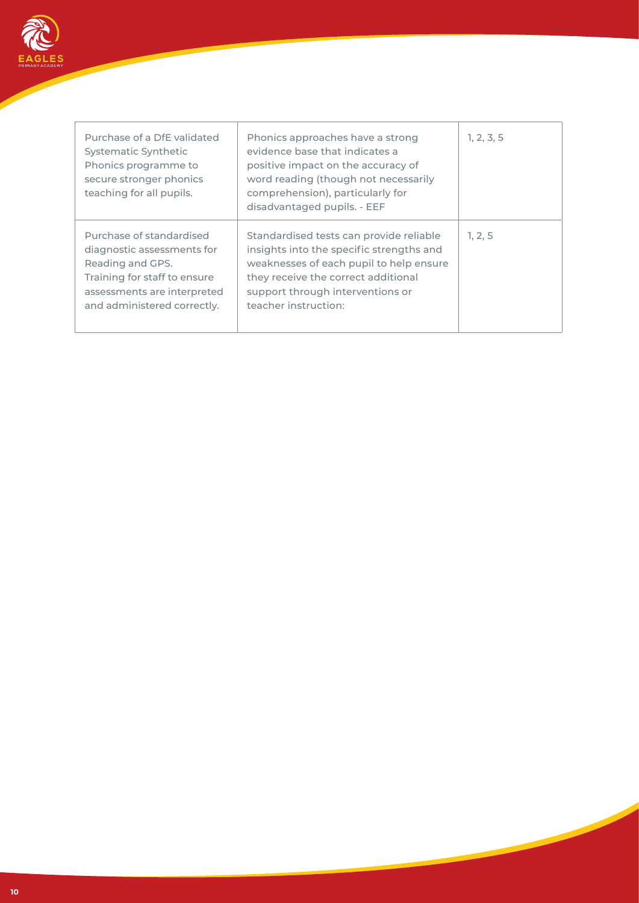

| Purchase of a DfE validated<br>Systematic Synthetic<br>Phonics programme to<br>secure stronger phonics<br>teaching for all pupils.                                       | Phonics approaches have a strong<br>evidence base that indicates a<br>positive impact on the accuracy of<br>word reading (though not necessarily<br>comprehension), particularly for<br>disadvantaged pupils. - EEF               | 1, 2, 3, 5 |
|--------------------------------------------------------------------------------------------------------------------------------------------------------------------------|-----------------------------------------------------------------------------------------------------------------------------------------------------------------------------------------------------------------------------------|------------|
| Purchase of standardised<br>diagnostic assessments for<br>Reading and GPS.<br>Training for staff to ensure<br>assessments are interpreted<br>and administered correctly. | Standardised tests can provide reliable<br>insights into the specific strengths and<br>weaknesses of each pupil to help ensure<br>they receive the correct additional<br>support through interventions or<br>teacher instruction: | 1, 2, 5    |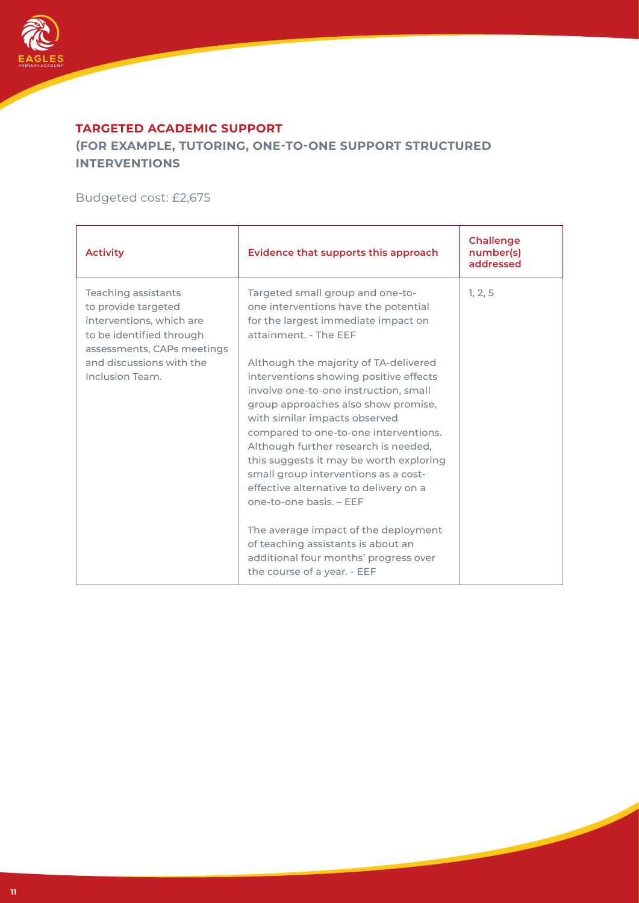

#### **TARGETED ACADEMIC SUPPORT**

**(FOR EXAMPLE, TUTORING, ONE-TO-ONE SUPPORT STRUCTURED INTERVENTIONS**

Budgeted cost: £2,675

| <b>Activity</b>                                                                                                                                                                 | Evidence that supports this approach                                                                                                                                                                                                                                                                          | <b>Challenge</b><br>number(s)<br>addressed |
|---------------------------------------------------------------------------------------------------------------------------------------------------------------------------------|---------------------------------------------------------------------------------------------------------------------------------------------------------------------------------------------------------------------------------------------------------------------------------------------------------------|--------------------------------------------|
| Teaching assistants<br>to provide targeted<br>interventions, which are<br>to be identified through<br>assessments, CAPs meetings<br>and discussions with the<br>Inclusion Team. | Targeted small group and one-to-<br>one interventions have the potential<br>for the largest immediate impact on<br>attainment. - The EEF<br>Although the majority of TA-delivered<br>interventions showing positive effects<br>involve one-to-one instruction, small                                          | 1, 2, 5                                    |
|                                                                                                                                                                                 | group approaches also show promise,<br>with similar impacts observed<br>compared to one-to-one interventions.<br>Although further research is needed,<br>this suggests it may be worth exploring<br>small group interventions as a cost-<br>effective alternative to delivery on a<br>one-to-one basis. - EEF |                                            |
|                                                                                                                                                                                 | The average impact of the deployment<br>of teaching assistants is about an<br>additional four months' progress over<br>the course of a year. - EEF                                                                                                                                                            |                                            |

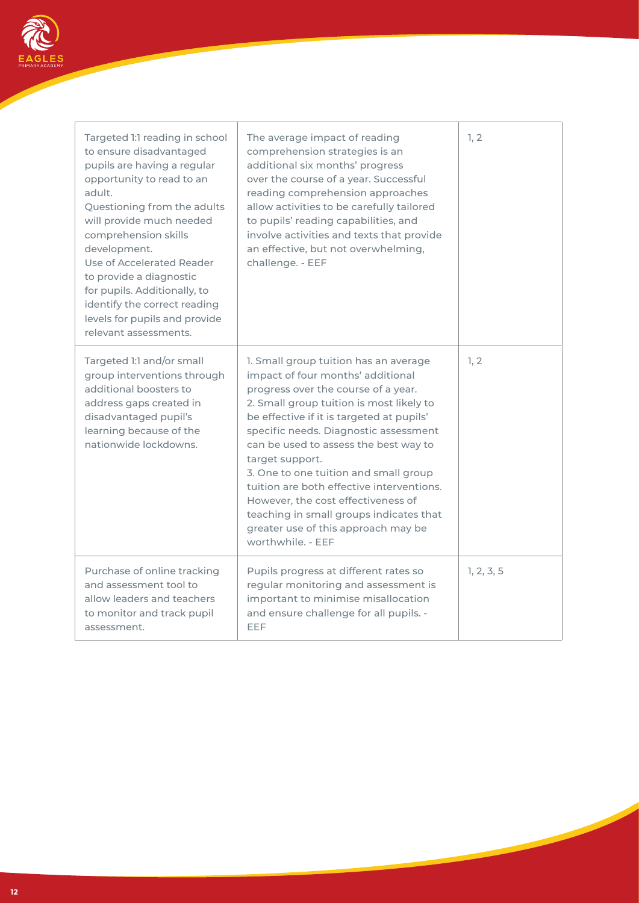

| Targeted 1:1 reading in school<br>to ensure disadvantaged<br>pupils are having a regular<br>opportunity to read to an<br>adult.<br>Questioning from the adults<br>will provide much needed<br>comprehension skills<br>development.<br>Use of Accelerated Reader<br>to provide a diagnostic<br>for pupils. Additionally, to<br>identify the correct reading<br>levels for pupils and provide<br>relevant assessments. | The average impact of reading<br>comprehension strategies is an<br>additional six months' progress<br>over the course of a year. Successful<br>reading comprehension approaches<br>allow activities to be carefully tailored<br>to pupils' reading capabilities, and<br>involve activities and texts that provide<br>an effective, but not overwhelming,<br>challenge. - EEF                                                                                                                                                                       | 1, 2       |
|----------------------------------------------------------------------------------------------------------------------------------------------------------------------------------------------------------------------------------------------------------------------------------------------------------------------------------------------------------------------------------------------------------------------|----------------------------------------------------------------------------------------------------------------------------------------------------------------------------------------------------------------------------------------------------------------------------------------------------------------------------------------------------------------------------------------------------------------------------------------------------------------------------------------------------------------------------------------------------|------------|
| Targeted 1:1 and/or small<br>group interventions through<br>additional boosters to<br>address gaps created in<br>disadvantaged pupil's<br>learning because of the<br>nationwide lockdowns.                                                                                                                                                                                                                           | 1. Small group tuition has an average<br>impact of four months' additional<br>progress over the course of a year.<br>2. Small group tuition is most likely to<br>be effective if it is targeted at pupils'<br>specific needs. Diagnostic assessment<br>can be used to assess the best way to<br>target support.<br>3. One to one tuition and small group<br>tuition are both effective interventions.<br>However, the cost effectiveness of<br>teaching in small groups indicates that<br>greater use of this approach may be<br>worthwhile. - EEF | 1, 2       |
| Purchase of online tracking<br>and assessment tool to<br>allow leaders and teachers<br>to monitor and track pupil<br>assessment.                                                                                                                                                                                                                                                                                     | Pupils progress at different rates so<br>regular monitoring and assessment is<br>important to minimise misallocation<br>and ensure challenge for all pupils. -<br>EEF                                                                                                                                                                                                                                                                                                                                                                              | 1, 2, 3, 5 |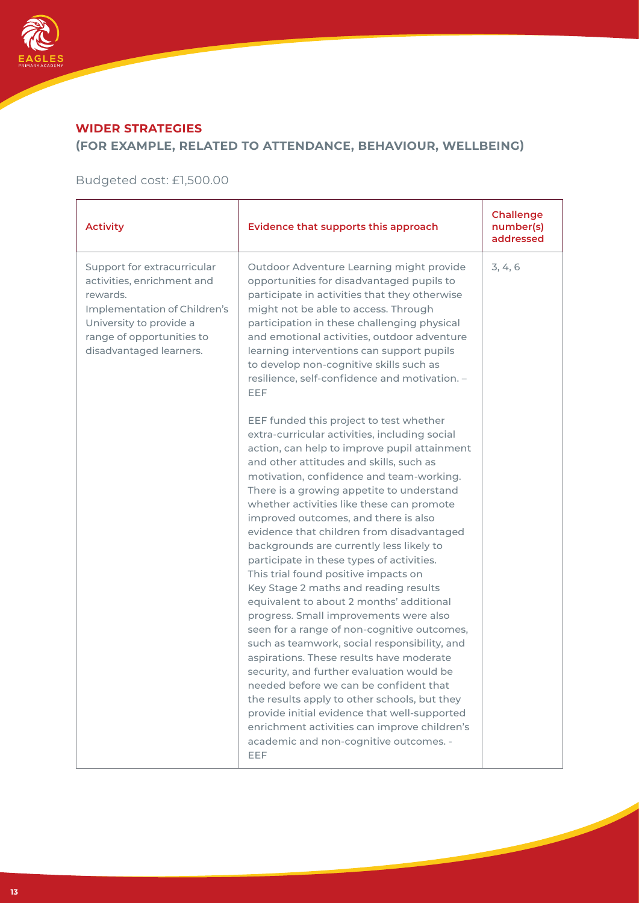

# **WIDER STRATEGIES**

## **(FOR EXAMPLE, RELATED TO ATTENDANCE, BEHAVIOUR, WELLBEING)**

## Budgeted cost: £1,500.00

| <b>Activity</b>                                                                                                                                                                          | Evidence that supports this approach                                                                                                                                                                                                                                                                                                                                                                                                                                                                                                                                                                                                                                                                                                                                                                                                                                                                                                                                                                                                                                                                              | <b>Challenge</b><br>number(s)<br>addressed |
|------------------------------------------------------------------------------------------------------------------------------------------------------------------------------------------|-------------------------------------------------------------------------------------------------------------------------------------------------------------------------------------------------------------------------------------------------------------------------------------------------------------------------------------------------------------------------------------------------------------------------------------------------------------------------------------------------------------------------------------------------------------------------------------------------------------------------------------------------------------------------------------------------------------------------------------------------------------------------------------------------------------------------------------------------------------------------------------------------------------------------------------------------------------------------------------------------------------------------------------------------------------------------------------------------------------------|--------------------------------------------|
| Support for extracurricular<br>activities, enrichment and<br>rewards.<br>Implementation of Children's<br>University to provide a<br>range of opportunities to<br>disadvantaged learners. | Outdoor Adventure Learning might provide<br>opportunities for disadvantaged pupils to<br>participate in activities that they otherwise<br>might not be able to access. Through<br>participation in these challenging physical<br>and emotional activities, outdoor adventure<br>learning interventions can support pupils<br>to develop non-cognitive skills such as<br>resilience, self-confidence and motivation. -<br>EEF                                                                                                                                                                                                                                                                                                                                                                                                                                                                                                                                                                                                                                                                                      | 3, 4, 6                                    |
|                                                                                                                                                                                          | EEF funded this project to test whether<br>extra-curricular activities, including social<br>action, can help to improve pupil attainment<br>and other attitudes and skills, such as<br>motivation, confidence and team-working.<br>There is a growing appetite to understand<br>whether activities like these can promote<br>improved outcomes, and there is also<br>evidence that children from disadvantaged<br>backgrounds are currently less likely to<br>participate in these types of activities.<br>This trial found positive impacts on<br>Key Stage 2 maths and reading results<br>equivalent to about 2 months' additional<br>progress. Small improvements were also<br>seen for a range of non-cognitive outcomes,<br>such as teamwork, social responsibility, and<br>aspirations. These results have moderate<br>security, and further evaluation would be<br>needed before we can be confident that<br>the results apply to other schools, but they<br>provide initial evidence that well-supported<br>enrichment activities can improve children's<br>academic and non-cognitive outcomes. -<br>EEF |                                            |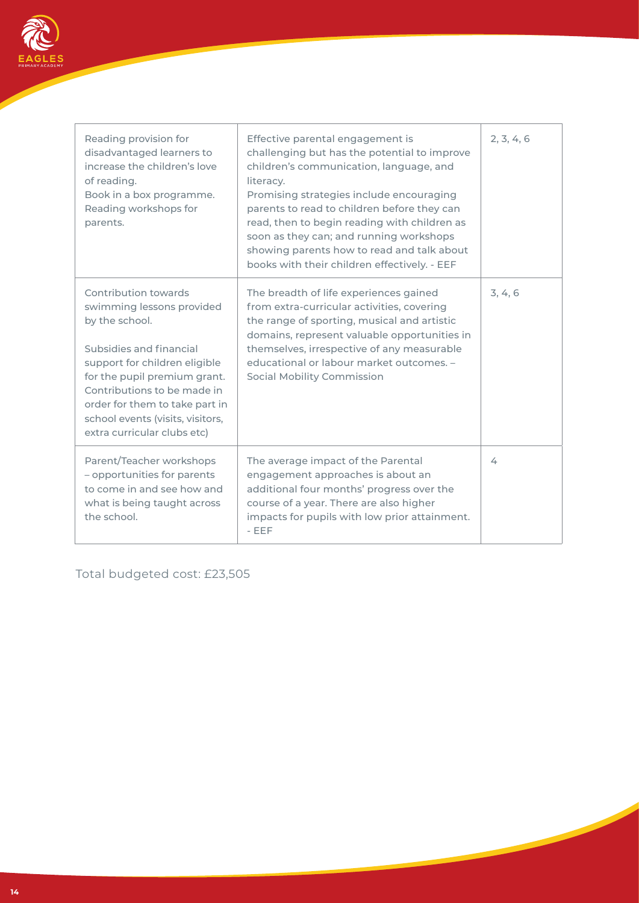

| Reading provision for<br>disadvantaged learners to<br>increase the children's love<br>of reading.<br>Book in a box programme.<br>Reading workshops for<br>parents.                                                                                                                                  | Effective parental engagement is<br>challenging but has the potential to improve<br>children's communication, language, and<br>literacy.<br>Promising strategies include encouraging<br>parents to read to children before they can<br>read, then to begin reading with children as<br>soon as they can; and running workshops<br>showing parents how to read and talk about<br>books with their children effectively. - EEF | 2, 3, 4, 6 |
|-----------------------------------------------------------------------------------------------------------------------------------------------------------------------------------------------------------------------------------------------------------------------------------------------------|------------------------------------------------------------------------------------------------------------------------------------------------------------------------------------------------------------------------------------------------------------------------------------------------------------------------------------------------------------------------------------------------------------------------------|------------|
| Contribution towards<br>swimming lessons provided<br>by the school.<br>Subsidies and financial<br>support for children eligible<br>for the pupil premium grant.<br>Contributions to be made in<br>order for them to take part in<br>school events (visits, visitors,<br>extra curricular clubs etc) | The breadth of life experiences gained<br>from extra-curricular activities, covering<br>the range of sporting, musical and artistic<br>domains, represent valuable opportunities in<br>themselves, irrespective of any measurable<br>educational or labour market outcomes. -<br><b>Social Mobility Commission</b>                                                                                                           | 3, 4, 6    |
| Parent/Teacher workshops<br>- opportunities for parents<br>to come in and see how and<br>what is being taught across<br>the school.                                                                                                                                                                 | The average impact of the Parental<br>engagement approaches is about an<br>additional four months' progress over the<br>course of a year. There are also higher<br>impacts for pupils with low prior attainment.<br>$-$ EEF                                                                                                                                                                                                  | 4          |

Ш

Total budgeted cost: £23,505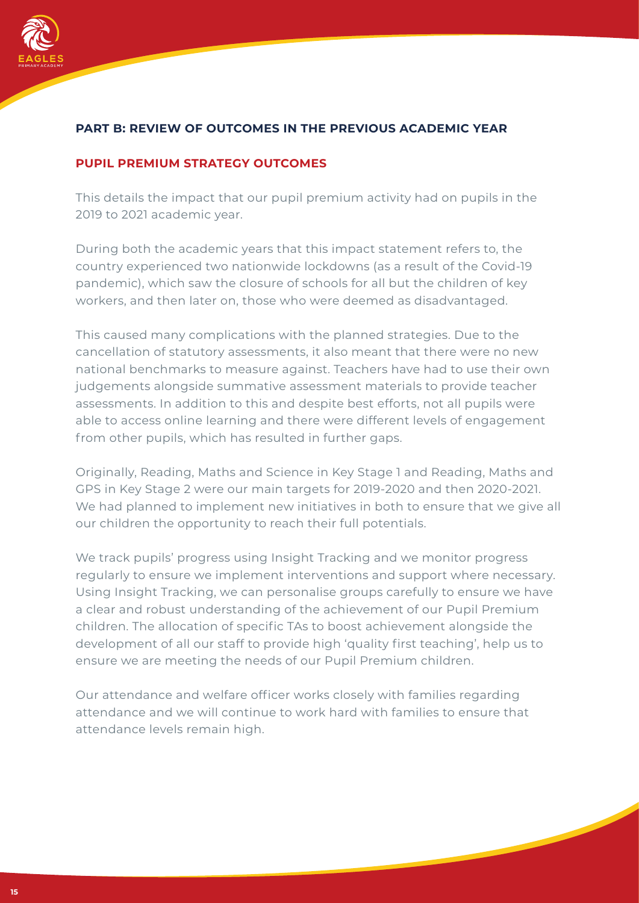

## **PART B: REVIEW OF OUTCOMES IN THE PREVIOUS ACADEMIC YEAR**

#### **PUPIL PREMIUM STRATEGY OUTCOMES**

This details the impact that our pupil premium activity had on pupils in the 2019 to 2021 academic year.

During both the academic years that this impact statement refers to, the country experienced two nationwide lockdowns (as a result of the Covid-19 pandemic), which saw the closure of schools for all but the children of key workers, and then later on, those who were deemed as disadvantaged.

This caused many complications with the planned strategies. Due to the cancellation of statutory assessments, it also meant that there were no new national benchmarks to measure against. Teachers have had to use their own judgements alongside summative assessment materials to provide teacher assessments. In addition to this and despite best efforts, not all pupils were able to access online learning and there were different levels of engagement from other pupils, which has resulted in further gaps.

Originally, Reading, Maths and Science in Key Stage 1 and Reading, Maths and GPS in Key Stage 2 were our main targets for 2019-2020 and then 2020-2021. We had planned to implement new initiatives in both to ensure that we give all our children the opportunity to reach their full potentials.

We track pupils' progress using Insight Tracking and we monitor progress regularly to ensure we implement interventions and support where necessary. Using Insight Tracking, we can personalise groups carefully to ensure we have a clear and robust understanding of the achievement of our Pupil Premium children. The allocation of specific TAs to boost achievement alongside the development of all our staff to provide high 'quality first teaching', help us to ensure we are meeting the needs of our Pupil Premium children.

Our attendance and welfare officer works closely with families regarding attendance and we will continue to work hard with families to ensure that attendance levels remain high.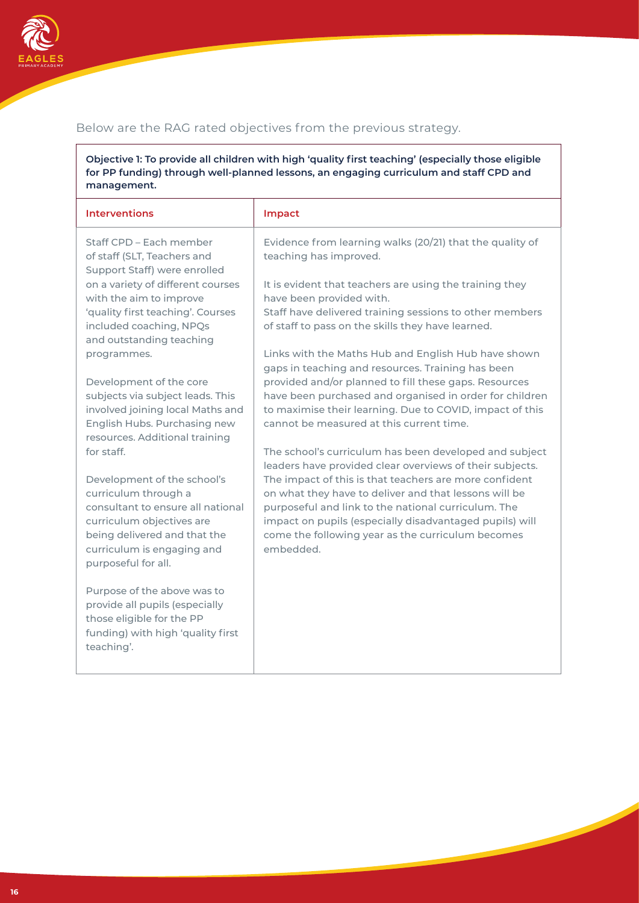

## Below are the RAG rated objectives from the previous strategy.

**Objective 1: To provide all children with high 'quality first teaching' (especially those eligible for PP funding) through well-planned lessons, an engaging curriculum and staff CPD and management.**

| <b>Interventions</b>                                                                                                                                                                                       | Impact                                                                                                                                                                                                                                                                                              |
|------------------------------------------------------------------------------------------------------------------------------------------------------------------------------------------------------------|-----------------------------------------------------------------------------------------------------------------------------------------------------------------------------------------------------------------------------------------------------------------------------------------------------|
| Staff CPD - Each member<br>of staff (SLT, Teachers and<br>Support Staff) were enrolled                                                                                                                     | Evidence from learning walks (20/21) that the quality of<br>teaching has improved.                                                                                                                                                                                                                  |
| on a variety of different courses<br>with the aim to improve<br>'quality first teaching'. Courses<br>included coaching, NPQs                                                                               | It is evident that teachers are using the training they<br>have been provided with.<br>Staff have delivered training sessions to other members<br>of staff to pass on the skills they have learned.                                                                                                 |
| and outstanding teaching<br>programmes.                                                                                                                                                                    | Links with the Maths Hub and English Hub have shown<br>gaps in teaching and resources. Training has been                                                                                                                                                                                            |
| Development of the core<br>subjects via subject leads. This<br>involved joining local Maths and<br>English Hubs. Purchasing new<br>resources. Additional training                                          | provided and/or planned to fill these gaps. Resources<br>have been purchased and organised in order for children<br>to maximise their learning. Due to COVID, impact of this<br>cannot be measured at this current time.                                                                            |
| for staff.                                                                                                                                                                                                 | The school's curriculum has been developed and subject<br>leaders have provided clear overviews of their subjects.                                                                                                                                                                                  |
| Development of the school's<br>curriculum through a<br>consultant to ensure all national<br>curriculum objectives are<br>being delivered and that the<br>curriculum is engaging and<br>purposeful for all. | The impact of this is that teachers are more confident<br>on what they have to deliver and that lessons will be<br>purposeful and link to the national curriculum. The<br>impact on pupils (especially disadvantaged pupils) will<br>come the following year as the curriculum becomes<br>embedded. |
| Purpose of the above was to<br>provide all pupils (especially<br>those eligible for the PP<br>funding) with high 'quality first<br>teaching'.                                                              |                                                                                                                                                                                                                                                                                                     |
|                                                                                                                                                                                                            |                                                                                                                                                                                                                                                                                                     |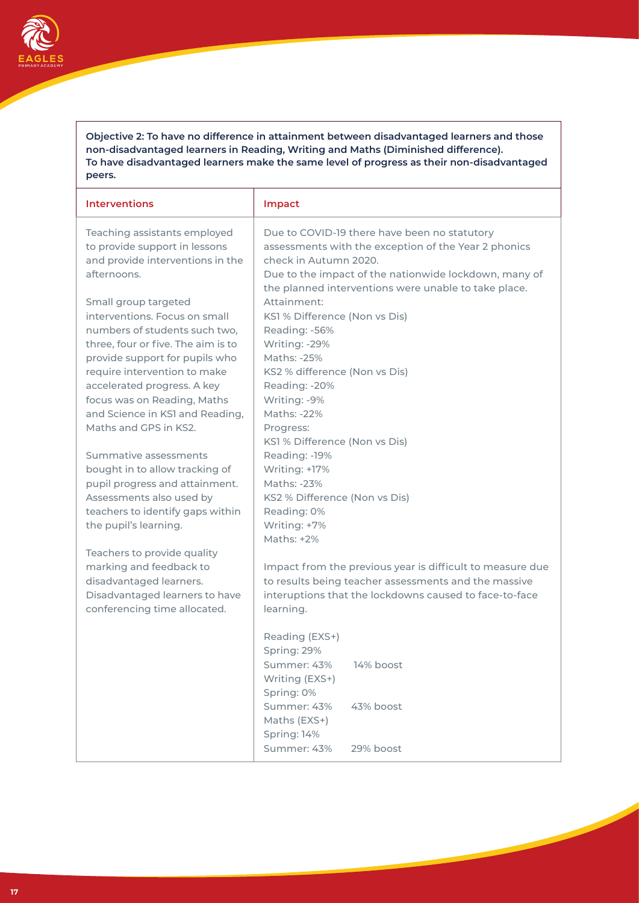

**Objective 2: To have no difference in attainment between disadvantaged learners and those non-disadvantaged learners in Reading, Writing and Maths (Diminished difference). To have disadvantaged learners make the same level of progress as their non-disadvantaged peers.**

| <b>Interventions</b>                                                                                                                                                                           | Impact                                                                                                                                                                                                                                         |
|------------------------------------------------------------------------------------------------------------------------------------------------------------------------------------------------|------------------------------------------------------------------------------------------------------------------------------------------------------------------------------------------------------------------------------------------------|
| Teaching assistants employed<br>to provide support in lessons<br>and provide interventions in the<br>afternoons.                                                                               | Due to COVID-19 there have been no statutory<br>assessments with the exception of the Year 2 phonics<br>check in Autumn 2020.<br>Due to the impact of the nationwide lockdown, many of<br>the planned interventions were unable to take place. |
| Small group targeted<br>interventions. Focus on small<br>numbers of students such two,<br>three, four or five. The aim is to<br>provide support for pupils who<br>require intervention to make | Attainment:<br>KS1 % Difference (Non vs Dis)<br>Reading: -56%<br>Writing: -29%<br>Maths: -25%<br>KS2 % difference (Non vs Dis)                                                                                                                 |
| accelerated progress. A key<br>focus was on Reading, Maths<br>and Science in KSI and Reading,<br>Maths and GPS in KS2.                                                                         | Reading: -20%<br>Writing: -9%<br>Maths: -22%<br>Progress:<br>KS1 % Difference (Non vs Dis)                                                                                                                                                     |
| Summative assessments<br>bought in to allow tracking of<br>pupil progress and attainment.<br>Assessments also used by<br>teachers to identify gaps within<br>the pupil's learning.             | Reading: - 19%<br>Writing: +17%<br>Maths: -23%<br>KS2 % Difference (Non vs Dis)<br>Reading: 0%<br>Writing: +7%<br>Maths: +2%                                                                                                                   |
| Teachers to provide quality<br>marking and feedback to<br>disadvantaged learners.<br>Disadvantaged learners to have<br>conferencing time allocated.                                            | Impact from the previous year is difficult to measure due<br>to results being teacher assessments and the massive<br>interuptions that the lockdowns caused to face-to-face<br>learning.                                                       |
|                                                                                                                                                                                                | Reading (EXS+)<br>Spring: 29%<br>14% boost<br>Summer: 43%<br>Writing (EXS+)<br>Spring: 0%                                                                                                                                                      |
|                                                                                                                                                                                                | Summer: 43%<br>43% boost<br>Maths (EXS+)<br>Spring: 14%<br>Summer: 43%<br>29% boost                                                                                                                                                            |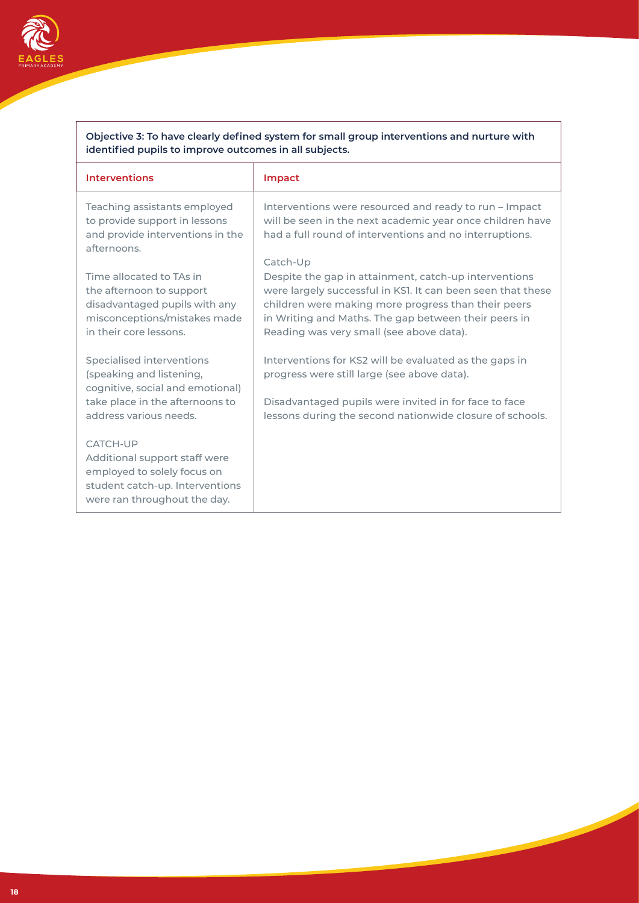

| Objective 3: To have clearly defined system for small group interventions and nurture with |  |
|--------------------------------------------------------------------------------------------|--|
| identified pupils to improve outcomes in all subjects.                                     |  |

| <b>Interventions</b>                                                                                                                                   | Impact                                                                                                                                                                                                                                                                                      |
|--------------------------------------------------------------------------------------------------------------------------------------------------------|---------------------------------------------------------------------------------------------------------------------------------------------------------------------------------------------------------------------------------------------------------------------------------------------|
| Teaching assistants employed<br>to provide support in lessons<br>and provide interventions in the<br>afternoons.                                       | Interventions were resourced and ready to run – Impact<br>will be seen in the next academic year once children have<br>had a full round of interventions and no interruptions.                                                                                                              |
| Time allocated to TAs in<br>the afternoon to support<br>disadvantaged pupils with any<br>misconceptions/mistakes made<br>in their core lessons.        | Catch-Up<br>Despite the gap in attainment, catch-up interventions<br>were largely successful in KSI. It can been seen that these<br>children were making more progress than their peers<br>in Writing and Maths. The gap between their peers in<br>Reading was very small (see above data). |
| Specialised interventions<br>(speaking and listening,<br>cognitive, social and emotional)<br>take place in the afternoons to<br>address various needs. | Interventions for KS2 will be evaluated as the gaps in<br>progress were still large (see above data).<br>Disadvantaged pupils were invited in for face to face<br>lessons during the second nationwide closure of schools.                                                                  |
| <b>CATCH-UP</b><br>Additional support staff were<br>employed to solely focus on<br>student catch-up. Interventions<br>were ran throughout the day.     |                                                                                                                                                                                                                                                                                             |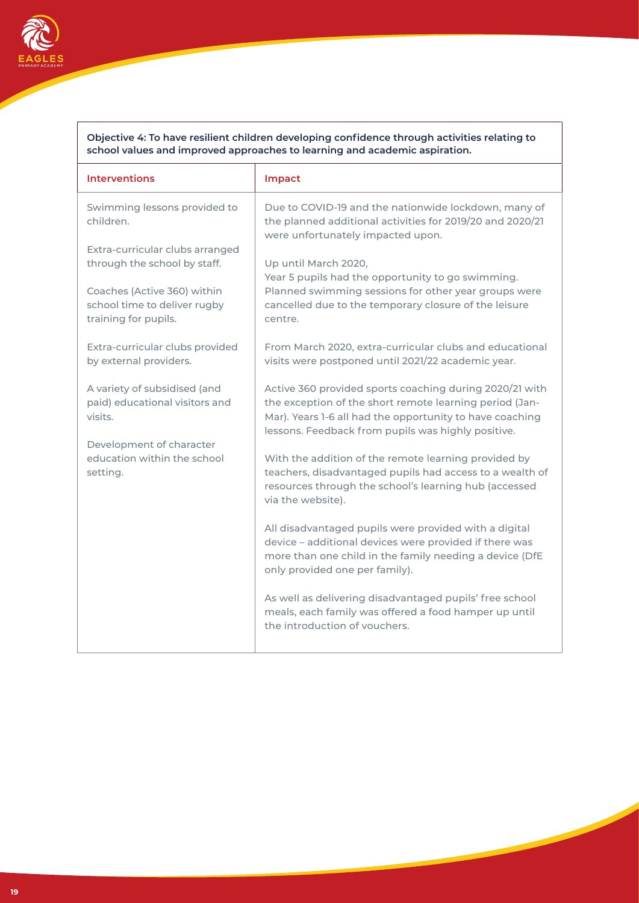

#### **Objective 4: To have resilient children developing confidence through activities relating to school values and improved approaches to learning and academic aspiration.**

| <b>Interventions</b>                                                                | Impact                                                                                                                                                                                                                               |
|-------------------------------------------------------------------------------------|--------------------------------------------------------------------------------------------------------------------------------------------------------------------------------------------------------------------------------------|
| Swimming lessons provided to<br>children.                                           | Due to COVID-19 and the nationwide lockdown, many of<br>the planned additional activities for 2019/20 and 2020/21<br>were unfortunately impacted upon.                                                                               |
| Extra-curricular clubs arranged<br>through the school by staff.                     | Up until March 2020,<br>Year 5 pupils had the opportunity to go swimming.<br>Planned swimming sessions for other year groups were<br>cancelled due to the temporary closure of the leisure<br>centre.                                |
| Coaches (Active 360) within<br>school time to deliver rugby<br>training for pupils. |                                                                                                                                                                                                                                      |
| Extra-curricular clubs provided<br>by external providers.                           | From March 2020, extra-curricular clubs and educational<br>visits were postponed until 2021/22 academic year.                                                                                                                        |
| A variety of subsidised (and<br>paid) educational visitors and<br>visits.           | Active 360 provided sports coaching during 2020/21 with<br>the exception of the short remote learning period (Jan-<br>Mar). Years 1-6 all had the opportunity to have coaching<br>lessons. Feedback from pupils was highly positive. |
| Development of character                                                            |                                                                                                                                                                                                                                      |
| education within the school<br>setting.                                             | With the addition of the remote learning provided by<br>teachers, disadvantaged pupils had access to a wealth of<br>resources through the school's learning hub (accessed<br>via the website).                                       |
|                                                                                     | All disadvantaged pupils were provided with a digital<br>device - additional devices were provided if there was<br>more than one child in the family needing a device (DfE<br>only provided one per family).                         |
|                                                                                     | As well as delivering disadvantaged pupils' free school<br>meals, each family was offered a food hamper up until<br>the introduction of vouchers.                                                                                    |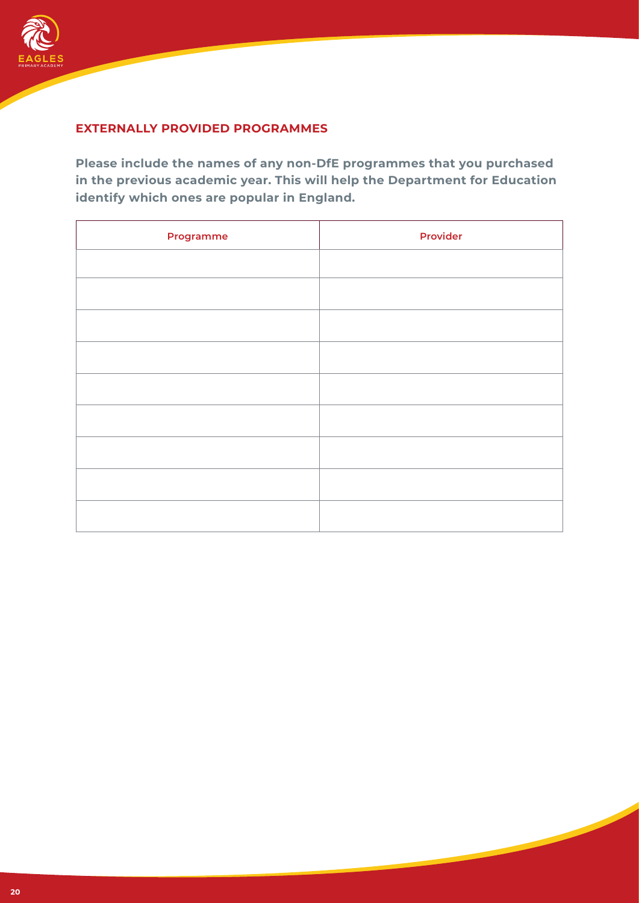

## **EXTERNALLY PROVIDED PROGRAMMES**

**Please include the names of any non-DfE programmes that you purchased in the previous academic year. This will help the Department for Education identify which ones are popular in England.**

| Programme | <b>Provider</b> |
|-----------|-----------------|
|           |                 |
|           |                 |
|           |                 |
|           |                 |
|           |                 |
|           |                 |
|           |                 |
|           |                 |
|           |                 |
|           |                 |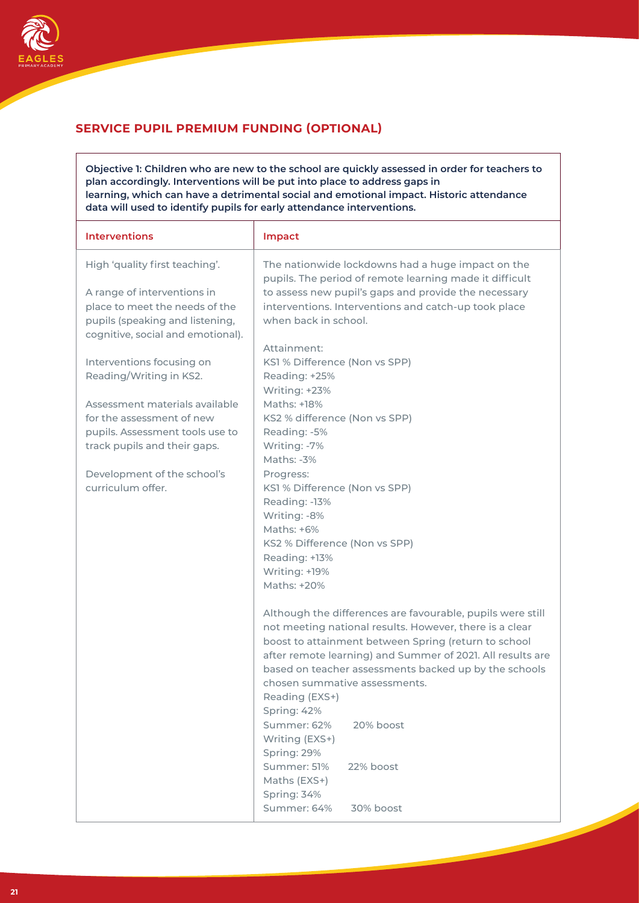

## **SERVICE PUPIL PREMIUM FUNDING (OPTIONAL)**

**Objective 1: Children who are new to the school are quickly assessed in order for teachers to plan accordingly. Interventions will be put into place to address gaps in learning, which can have a detrimental social and emotional impact. Historic attendance data will used to identify pupils for early attendance interventions.**

| <b>Interventions</b>                                 | Impact                                                                                                       |
|------------------------------------------------------|--------------------------------------------------------------------------------------------------------------|
| High 'quality first teaching'.                       | The nationwide lockdowns had a huge impact on the<br>pupils. The period of remote learning made it difficult |
| A range of interventions in                          | to assess new pupil's gaps and provide the necessary                                                         |
| place to meet the needs of the                       | interventions. Interventions and catch-up took place                                                         |
| pupils (speaking and listening,                      | when back in school.                                                                                         |
| cognitive, social and emotional).                    |                                                                                                              |
|                                                      | Attainment:                                                                                                  |
| Interventions focusing on<br>Reading/Writing in KS2. | KS1 % Difference (Non vs SPP)<br>Reading: +25%                                                               |
|                                                      | Writing: +23%                                                                                                |
| Assessment materials available                       | Maths: +18%                                                                                                  |
| for the assessment of new                            | KS2 % difference (Non vs SPP)                                                                                |
| pupils. Assessment tools use to                      | Reading: -5%                                                                                                 |
| track pupils and their gaps.                         | Writing: -7%                                                                                                 |
|                                                      | Maths: -3%                                                                                                   |
| Development of the school's                          | Progress:                                                                                                    |
| curriculum offer.                                    | KS1 % Difference (Non vs SPP)                                                                                |
|                                                      | Reading: - 13%                                                                                               |
|                                                      | Writing: -8%                                                                                                 |
|                                                      | Maths: $+6\%$                                                                                                |
|                                                      | KS2 % Difference (Non vs SPP)                                                                                |
|                                                      | Reading: +13%                                                                                                |
|                                                      | Writing: +19%<br>Maths: +20%                                                                                 |
|                                                      |                                                                                                              |
|                                                      | Although the differences are favourable, pupils were still                                                   |
|                                                      | not meeting national results. However, there is a clear                                                      |
|                                                      | boost to attainment between Spring (return to school                                                         |
|                                                      | after remote learning) and Summer of 2021. All results are                                                   |
|                                                      | based on teacher assessments backed up by the schools                                                        |
|                                                      | chosen summative assessments.                                                                                |
|                                                      | Reading (EXS+)                                                                                               |
|                                                      | Spring: 42%                                                                                                  |
|                                                      | Summer: 62%<br>20% boost                                                                                     |
|                                                      | Writing (EXS+)                                                                                               |
|                                                      | Spring: 29%                                                                                                  |
|                                                      | Summer: 51%<br>22% boost                                                                                     |
|                                                      | Maths (EXS+)                                                                                                 |
|                                                      | Spring: 34%<br>Summer: 64%<br>30% boost                                                                      |
|                                                      |                                                                                                              |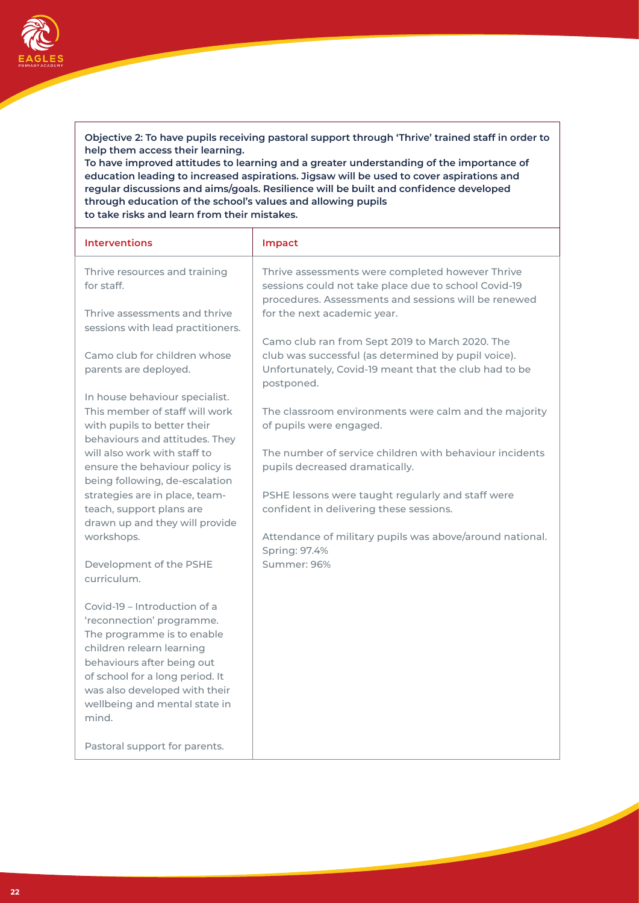#### **Objective 2: To have pupils receiving pastoral support through 'Thrive' trained staff in order to help them access their learning.**

**To have improved attitudes to learning and a greater understanding of the importance of education leading to increased aspirations. Jigsaw will be used to cover aspirations and regular discussions and aims/goals. Resilience will be built and confidence developed through education of the school's values and allowing pupils to take risks and learn from their mistakes.**

| <b>Interventions</b>                                                                                                                     | Impact                                                                                                                                                           |
|------------------------------------------------------------------------------------------------------------------------------------------|------------------------------------------------------------------------------------------------------------------------------------------------------------------|
| Thrive resources and training<br>for staff.                                                                                              | Thrive assessments were completed however Thrive<br>sessions could not take place due to school Covid-19<br>procedures. Assessments and sessions will be renewed |
| Thrive assessments and thrive<br>sessions with lead practitioners.                                                                       | for the next academic year.                                                                                                                                      |
| Camo club for children whose                                                                                                             | Camo club ran from Sept 2019 to March 2020. The<br>club was successful (as determined by pupil voice).                                                           |
| parents are deployed.                                                                                                                    | Unfortunately, Covid-19 meant that the club had to be<br>postponed.                                                                                              |
| In house behaviour specialist.                                                                                                           |                                                                                                                                                                  |
| This member of staff will work<br>with pupils to better their<br>behaviours and attitudes. They                                          | The classroom environments were calm and the majority<br>of pupils were engaged.                                                                                 |
| will also work with staff to<br>ensure the behaviour policy is<br>being following, de-escalation                                         | The number of service children with behaviour incidents<br>pupils decreased dramatically.                                                                        |
| strategies are in place, team-<br>teach, support plans are<br>drawn up and they will provide                                             | PSHE lessons were taught regularly and staff were<br>confident in delivering these sessions.                                                                     |
| workshops.                                                                                                                               | Attendance of military pupils was above/around national.<br>Spring: 97.4%                                                                                        |
| Development of the PSHE<br>curriculum.                                                                                                   | Summer: 96%                                                                                                                                                      |
| Covid-19 - Introduction of a<br>'reconnection' programme.<br>The programme is to enable<br>children relearn learning                     |                                                                                                                                                                  |
| behaviours after being out<br>of school for a long period. It<br>was also developed with their<br>wellbeing and mental state in<br>mind. |                                                                                                                                                                  |
| Pastoral support for parents.                                                                                                            |                                                                                                                                                                  |